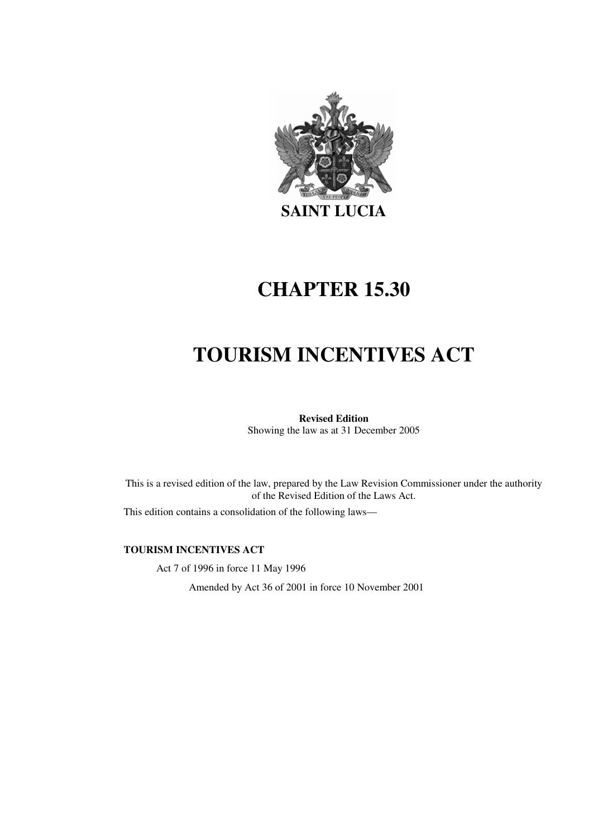

# **CHAPTER 15.30**

# **TOURISM INCENTIVES ACT**

### **Revised Edition**

Showing the law as at 31 December 2005

This is a revised edition of the law, prepared by the Law Revision Commissioner under the authority of the Revised Edition of the Laws Act.

This edition contains a consolidation of the following laws—

#### **TOURISM INCENTIVES ACT**

Act 7 of 1996 in force 11 May 1996

Amended by Act 36 of 2001 in force 10 November 2001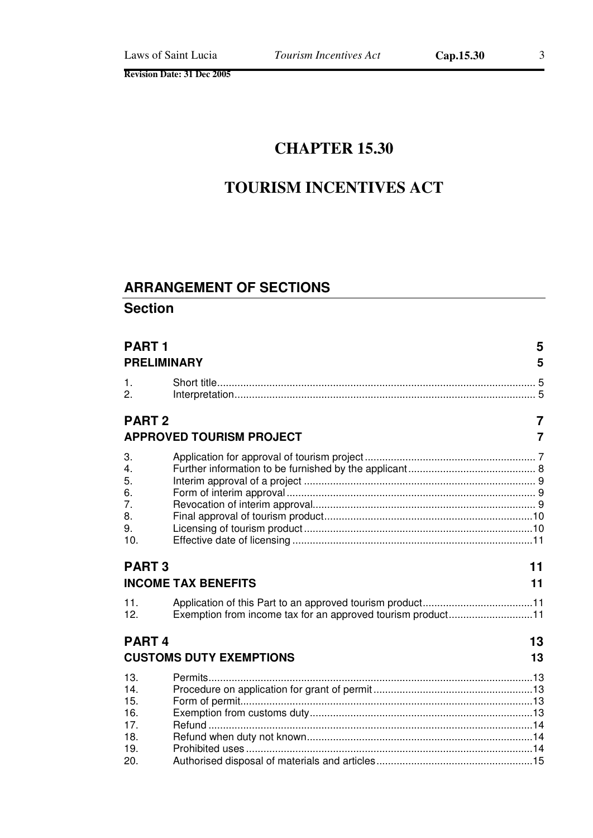# **CHAPTER 15.30**

## **TOURISM INCENTIVES ACT**

### **ARRANGEMENT OF SECTIONS**

### **Section**

| <b>PART1</b>                                              | <b>PRELIMINARY</b>                                          | 5<br>5 |
|-----------------------------------------------------------|-------------------------------------------------------------|--------|
| 1.<br>2.                                                  |                                                             |        |
| <b>PART 2</b>                                             |                                                             | 7      |
|                                                           | <b>APPROVED TOURISM PROJECT</b>                             | 7      |
| 3.<br>4.<br>5.<br>6.<br>7 <sub>1</sub><br>8.<br>9.<br>10. |                                                             |        |
| <b>PART3</b>                                              |                                                             | 11     |
|                                                           | <b>INCOME TAX BENEFITS</b>                                  | 11     |
| 11.<br>12.                                                | Exemption from income tax for an approved tourism product11 |        |
| <b>PART4</b>                                              |                                                             | 13     |
|                                                           | <b>CUSTOMS DUTY EXEMPTIONS</b>                              | 13     |
| 13.                                                       |                                                             |        |
| 14.                                                       |                                                             |        |
| 15.                                                       |                                                             |        |
| 16.<br>17.                                                |                                                             |        |
| 18.                                                       |                                                             |        |
| 19.                                                       |                                                             |        |
| 20.                                                       |                                                             |        |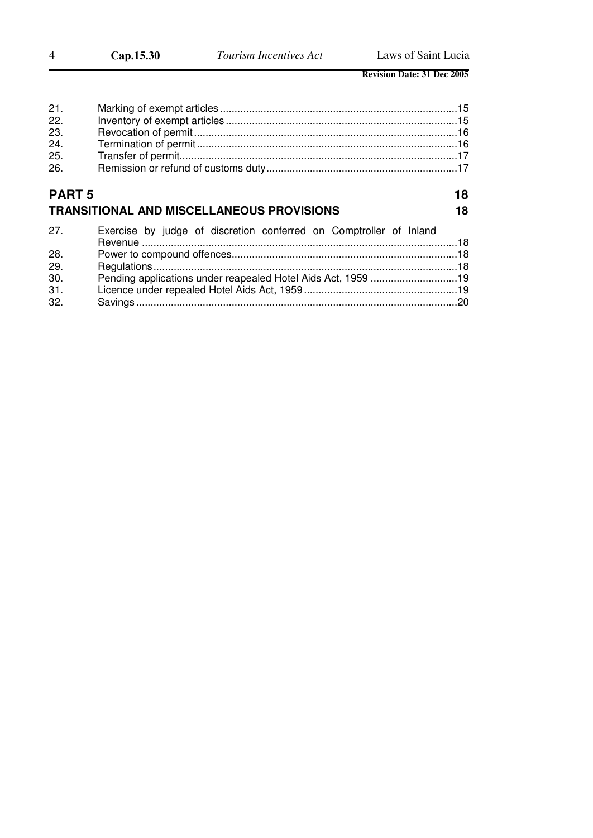#### **PART 5** 18 **TRANSITIONAL AND MISCELLANEOUS PROVISIONS 18**

| 27. | Exercise by judge of discretion conferred on Comptroller of Inland |  |
|-----|--------------------------------------------------------------------|--|
| 28. |                                                                    |  |
| 29. |                                                                    |  |
| 30. |                                                                    |  |
| 31. |                                                                    |  |
| 32. |                                                                    |  |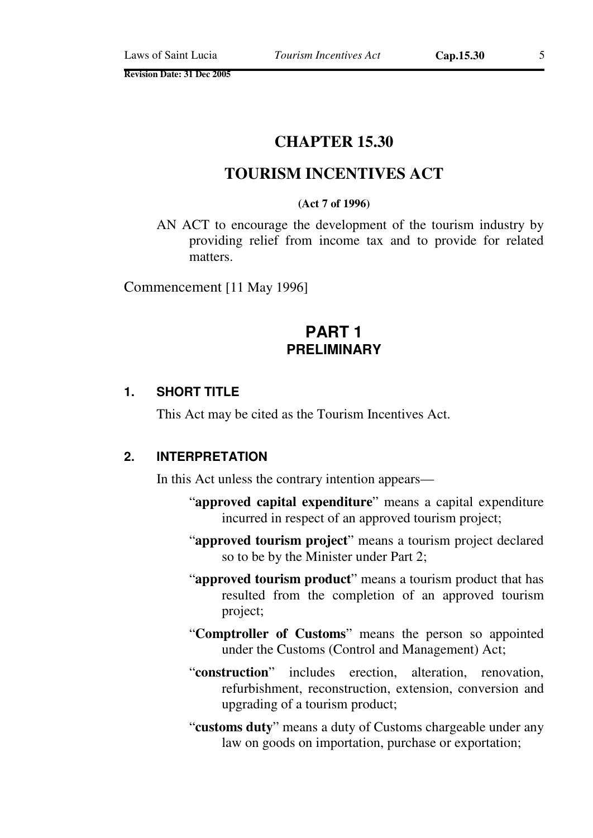### **TOURISM INCENTIVES ACT**

#### **(Act 7 of 1996)**

AN ACT to encourage the development of the tourism industry by providing relief from income tax and to provide for related matters.

Commencement [11 May 1996]

### **PART 1 PRELIMINARY**

### **1. SHORT TITLE**

This Act may be cited as the Tourism Incentives Act.

### **2. INTERPRETATION**

In this Act unless the contrary intention appears—

- "**approved capital expenditure**" means a capital expenditure incurred in respect of an approved tourism project;
- "**approved tourism project**" means a tourism project declared so to be by the Minister under Part 2;
- "**approved tourism product**" means a tourism product that has resulted from the completion of an approved tourism project;
- "**Comptroller of Customs**" means the person so appointed under the Customs (Control and Management) Act;
- "**construction**" includes erection, alteration, renovation, refurbishment, reconstruction, extension, conversion and upgrading of a tourism product;
- "**customs duty**" means a duty of Customs chargeable under any law on goods on importation, purchase or exportation;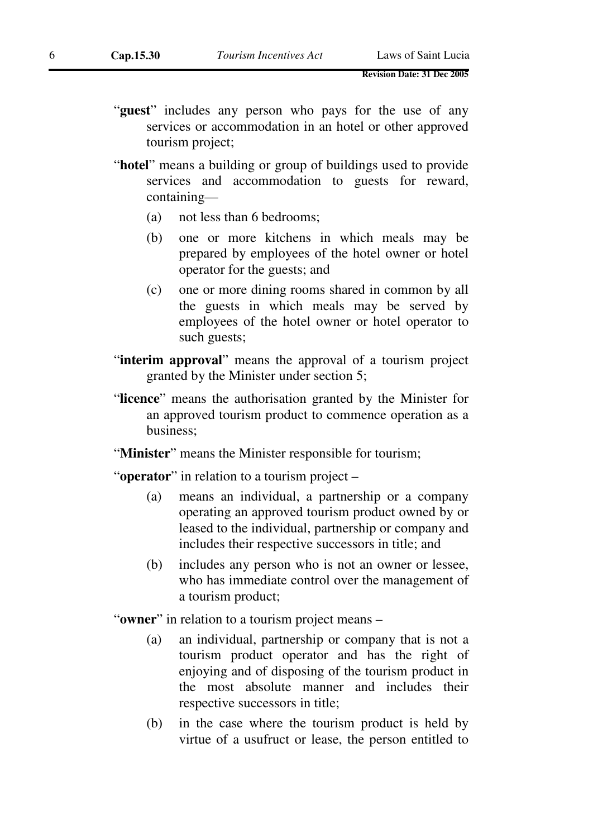- "guest" includes any person who pays for the use of any services or accommodation in an hotel or other approved tourism project;
- "**hotel**" means a building or group of buildings used to provide services and accommodation to guests for reward, containing—
	- (a) not less than 6 bedrooms;
	- (b) one or more kitchens in which meals may be prepared by employees of the hotel owner or hotel operator for the guests; and
	- (c) one or more dining rooms shared in common by all the guests in which meals may be served by employees of the hotel owner or hotel operator to such guests;
- "**interim approval**" means the approval of a tourism project granted by the Minister under section 5;
- "**licence**" means the authorisation granted by the Minister for an approved tourism product to commence operation as a business;
- "**Minister**" means the Minister responsible for tourism;

"**operator**" in relation to a tourism project –

- (a) means an individual, a partnership or a company operating an approved tourism product owned by or leased to the individual, partnership or company and includes their respective successors in title; and
- (b) includes any person who is not an owner or lessee, who has immediate control over the management of a tourism product;

"**owner**" in relation to a tourism project means –

- (a) an individual, partnership or company that is not a tourism product operator and has the right of enjoying and of disposing of the tourism product in the most absolute manner and includes their respective successors in title;
- (b) in the case where the tourism product is held by virtue of a usufruct or lease, the person entitled to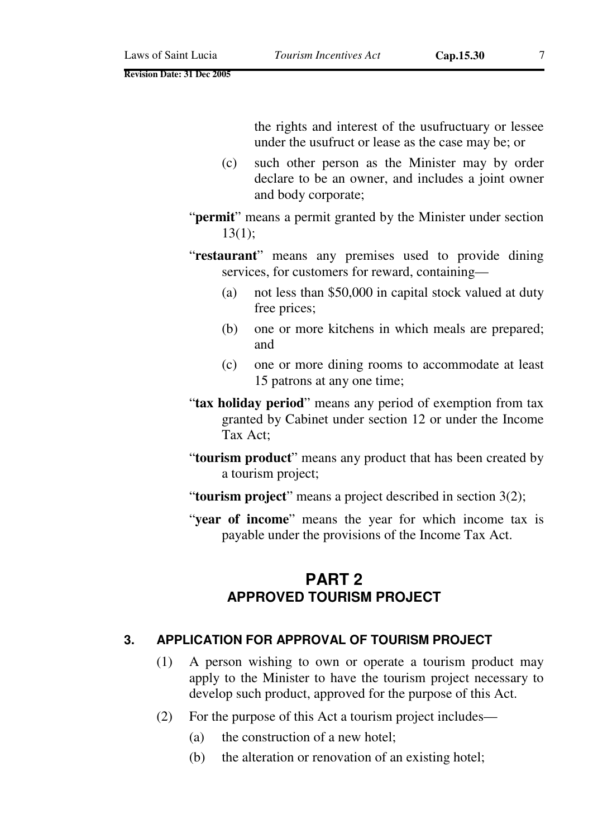the rights and interest of the usufructuary or lessee under the usufruct or lease as the case may be; or

- (c) such other person as the Minister may by order declare to be an owner, and includes a joint owner and body corporate;
- "**permit**" means a permit granted by the Minister under section 13(1);
- "**restaurant**" means any premises used to provide dining services, for customers for reward, containing—
	- (a) not less than \$50,000 in capital stock valued at duty free prices;
	- (b) one or more kitchens in which meals are prepared; and
	- (c) one or more dining rooms to accommodate at least 15 patrons at any one time;
- "**tax holiday period**" means any period of exemption from tax granted by Cabinet under section 12 or under the Income Tax Act;
- "**tourism product**" means any product that has been created by a tourism project;
- "**tourism project**" means a project described in section 3(2);
- "**year of income**" means the year for which income tax is payable under the provisions of the Income Tax Act.

### **PART 2 APPROVED TOURISM PROJECT**

### **3. APPLICATION FOR APPROVAL OF TOURISM PROJECT**

- (1) A person wishing to own or operate a tourism product may apply to the Minister to have the tourism project necessary to develop such product, approved for the purpose of this Act.
- (2) For the purpose of this Act a tourism project includes—
	- (a) the construction of a new hotel;
	- (b) the alteration or renovation of an existing hotel;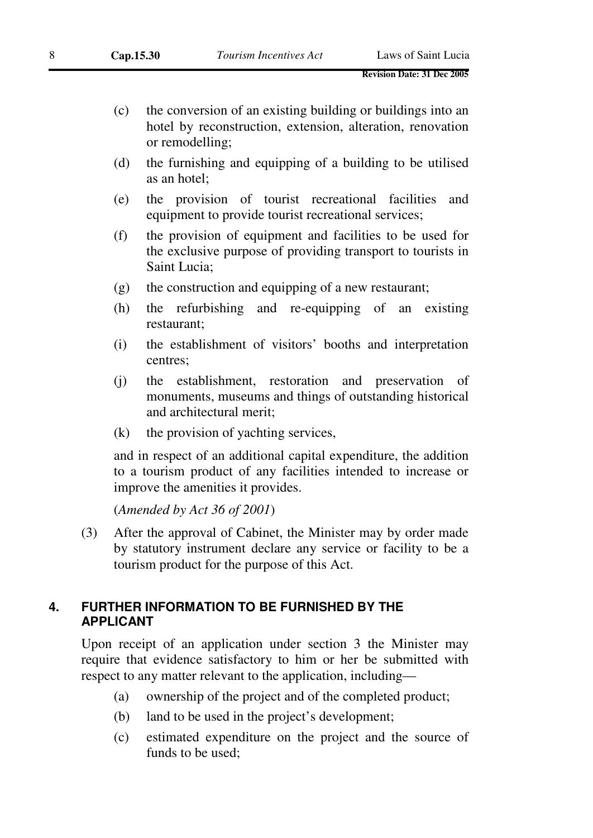- (c) the conversion of an existing building or buildings into an hotel by reconstruction, extension, alteration, renovation or remodelling;
- (d) the furnishing and equipping of a building to be utilised as an hotel;
- (e) the provision of tourist recreational facilities and equipment to provide tourist recreational services;
- (f) the provision of equipment and facilities to be used for the exclusive purpose of providing transport to tourists in Saint Lucia;
- (g) the construction and equipping of a new restaurant;
- (h) the refurbishing and re-equipping of an existing restaurant;
- (i) the establishment of visitors' booths and interpretation centres;
- (j) the establishment, restoration and preservation of monuments, museums and things of outstanding historical and architectural merit;
- (k) the provision of yachting services,

and in respect of an additional capital expenditure, the addition to a tourism product of any facilities intended to increase or improve the amenities it provides.

(*Amended by Act 36 of 2001*)

(3) After the approval of Cabinet, the Minister may by order made by statutory instrument declare any service or facility to be a tourism product for the purpose of this Act.

### **4. FURTHER INFORMATION TO BE FURNISHED BY THE APPLICANT**

Upon receipt of an application under section 3 the Minister may require that evidence satisfactory to him or her be submitted with respect to any matter relevant to the application, including—

- (a) ownership of the project and of the completed product;
- (b) land to be used in the project's development;
- (c) estimated expenditure on the project and the source of funds to be used;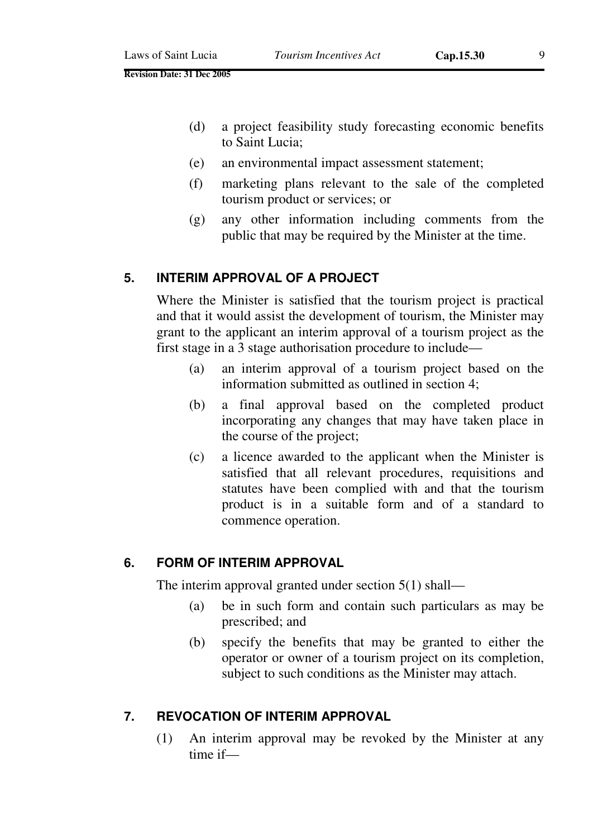- (d) a project feasibility study forecasting economic benefits to Saint Lucia;
- (e) an environmental impact assessment statement;
- (f) marketing plans relevant to the sale of the completed tourism product or services; or
- (g) any other information including comments from the public that may be required by the Minister at the time.

### **5. INTERIM APPROVAL OF A PROJECT**

Where the Minister is satisfied that the tourism project is practical and that it would assist the development of tourism, the Minister may grant to the applicant an interim approval of a tourism project as the first stage in a 3 stage authorisation procedure to include—

- (a) an interim approval of a tourism project based on the information submitted as outlined in section 4;
- (b) a final approval based on the completed product incorporating any changes that may have taken place in the course of the project;
- (c) a licence awarded to the applicant when the Minister is satisfied that all relevant procedures, requisitions and statutes have been complied with and that the tourism product is in a suitable form and of a standard to commence operation.

### **6. FORM OF INTERIM APPROVAL**

The interim approval granted under section 5(1) shall—

- (a) be in such form and contain such particulars as may be prescribed; and
- (b) specify the benefits that may be granted to either the operator or owner of a tourism project on its completion, subject to such conditions as the Minister may attach.

### **7. REVOCATION OF INTERIM APPROVAL**

(1) An interim approval may be revoked by the Minister at any time if—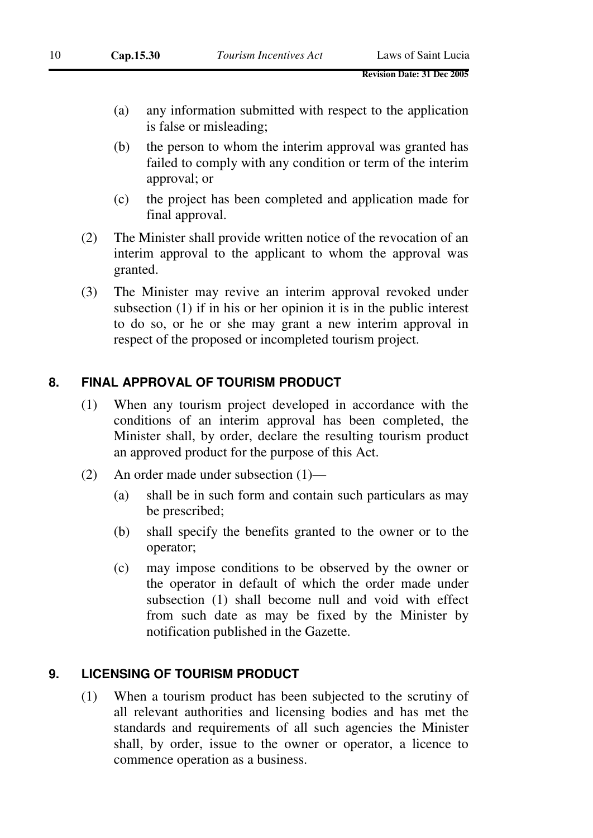- (a) any information submitted with respect to the application is false or misleading;
- (b) the person to whom the interim approval was granted has failed to comply with any condition or term of the interim approval; or
- (c) the project has been completed and application made for final approval.
- (2) The Minister shall provide written notice of the revocation of an interim approval to the applicant to whom the approval was granted.
- (3) The Minister may revive an interim approval revoked under subsection (1) if in his or her opinion it is in the public interest to do so, or he or she may grant a new interim approval in respect of the proposed or incompleted tourism project.

### **8. FINAL APPROVAL OF TOURISM PRODUCT**

- (1) When any tourism project developed in accordance with the conditions of an interim approval has been completed, the Minister shall, by order, declare the resulting tourism product an approved product for the purpose of this Act.
- (2) An order made under subsection (1)—
	- (a) shall be in such form and contain such particulars as may be prescribed;
	- (b) shall specify the benefits granted to the owner or to the operator;
	- (c) may impose conditions to be observed by the owner or the operator in default of which the order made under subsection (1) shall become null and void with effect from such date as may be fixed by the Minister by notification published in the Gazette.

### **9. LICENSING OF TOURISM PRODUCT**

(1) When a tourism product has been subjected to the scrutiny of all relevant authorities and licensing bodies and has met the standards and requirements of all such agencies the Minister shall, by order, issue to the owner or operator, a licence to commence operation as a business.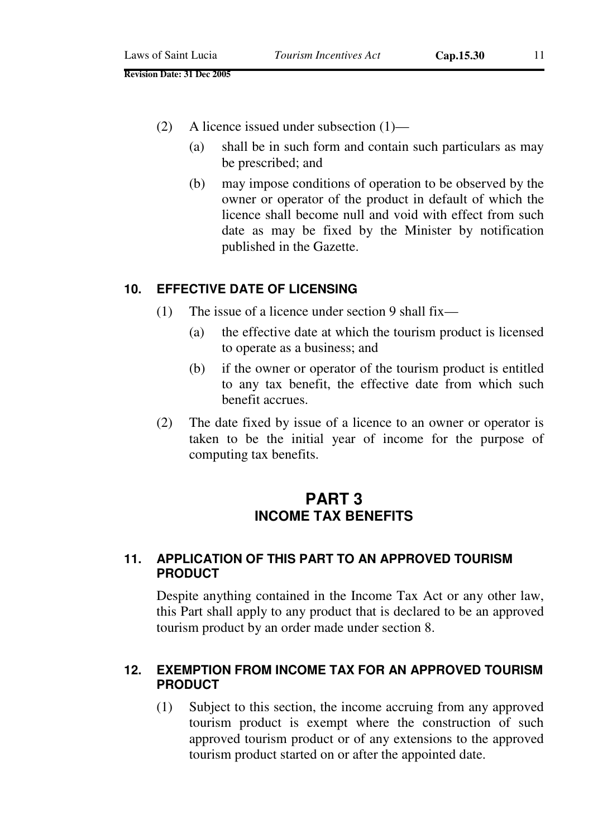- (a) shall be in such form and contain such particulars as may be prescribed; and
- (b) may impose conditions of operation to be observed by the owner or operator of the product in default of which the licence shall become null and void with effect from such date as may be fixed by the Minister by notification published in the Gazette.

### **10. EFFECTIVE DATE OF LICENSING**

- (1) The issue of a licence under section 9 shall fix—
	- (a) the effective date at which the tourism product is licensed to operate as a business; and
	- (b) if the owner or operator of the tourism product is entitled to any tax benefit, the effective date from which such benefit accrues.
- (2) The date fixed by issue of a licence to an owner or operator is taken to be the initial year of income for the purpose of computing tax benefits.

### **PART 3 INCOME TAX BENEFITS**

### **11. APPLICATION OF THIS PART TO AN APPROVED TOURISM PRODUCT**

Despite anything contained in the Income Tax Act or any other law, this Part shall apply to any product that is declared to be an approved tourism product by an order made under section 8.

### **12. EXEMPTION FROM INCOME TAX FOR AN APPROVED TOURISM PRODUCT**

(1) Subject to this section, the income accruing from any approved tourism product is exempt where the construction of such approved tourism product or of any extensions to the approved tourism product started on or after the appointed date.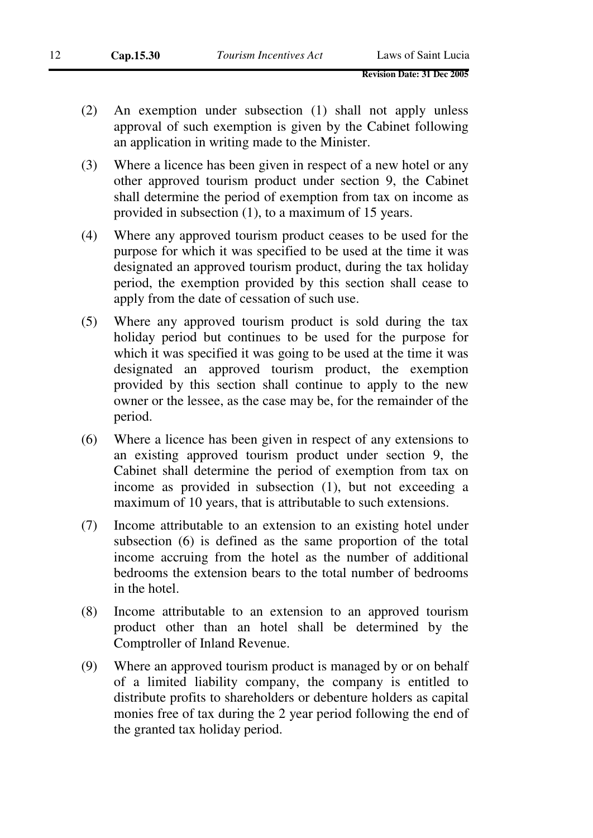- (2) An exemption under subsection (1) shall not apply unless approval of such exemption is given by the Cabinet following an application in writing made to the Minister.
- (3) Where a licence has been given in respect of a new hotel or any other approved tourism product under section 9, the Cabinet shall determine the period of exemption from tax on income as provided in subsection (1), to a maximum of 15 years.
- (4) Where any approved tourism product ceases to be used for the purpose for which it was specified to be used at the time it was designated an approved tourism product, during the tax holiday period, the exemption provided by this section shall cease to apply from the date of cessation of such use.
- (5) Where any approved tourism product is sold during the tax holiday period but continues to be used for the purpose for which it was specified it was going to be used at the time it was designated an approved tourism product, the exemption provided by this section shall continue to apply to the new owner or the lessee, as the case may be, for the remainder of the period.
- (6) Where a licence has been given in respect of any extensions to an existing approved tourism product under section 9, the Cabinet shall determine the period of exemption from tax on income as provided in subsection (1), but not exceeding a maximum of 10 years, that is attributable to such extensions.
- (7) Income attributable to an extension to an existing hotel under subsection (6) is defined as the same proportion of the total income accruing from the hotel as the number of additional bedrooms the extension bears to the total number of bedrooms in the hotel.
- (8) Income attributable to an extension to an approved tourism product other than an hotel shall be determined by the Comptroller of Inland Revenue.
- (9) Where an approved tourism product is managed by or on behalf of a limited liability company, the company is entitled to distribute profits to shareholders or debenture holders as capital monies free of tax during the 2 year period following the end of the granted tax holiday period.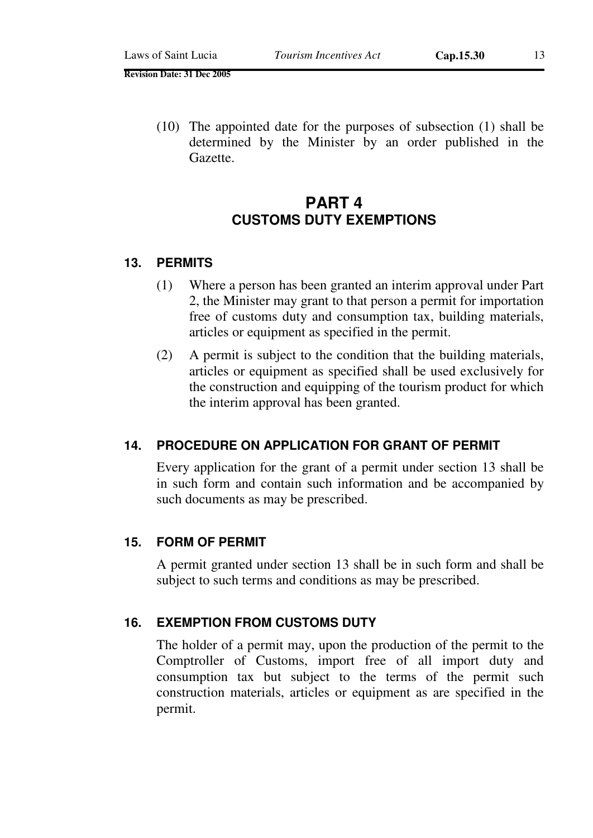(10) The appointed date for the purposes of subsection (1) shall be determined by the Minister by an order published in the Gazette.

### **PART 4 CUSTOMS DUTY EXEMPTIONS**

### **13. PERMITS**

- (1) Where a person has been granted an interim approval under Part 2, the Minister may grant to that person a permit for importation free of customs duty and consumption tax, building materials, articles or equipment as specified in the permit.
- (2) A permit is subject to the condition that the building materials, articles or equipment as specified shall be used exclusively for the construction and equipping of the tourism product for which the interim approval has been granted.

### **14. PROCEDURE ON APPLICATION FOR GRANT OF PERMIT**

Every application for the grant of a permit under section 13 shall be in such form and contain such information and be accompanied by such documents as may be prescribed.

### **15. FORM OF PERMIT**

A permit granted under section 13 shall be in such form and shall be subject to such terms and conditions as may be prescribed.

### **16. EXEMPTION FROM CUSTOMS DUTY**

The holder of a permit may, upon the production of the permit to the Comptroller of Customs, import free of all import duty and consumption tax but subject to the terms of the permit such construction materials, articles or equipment as are specified in the permit.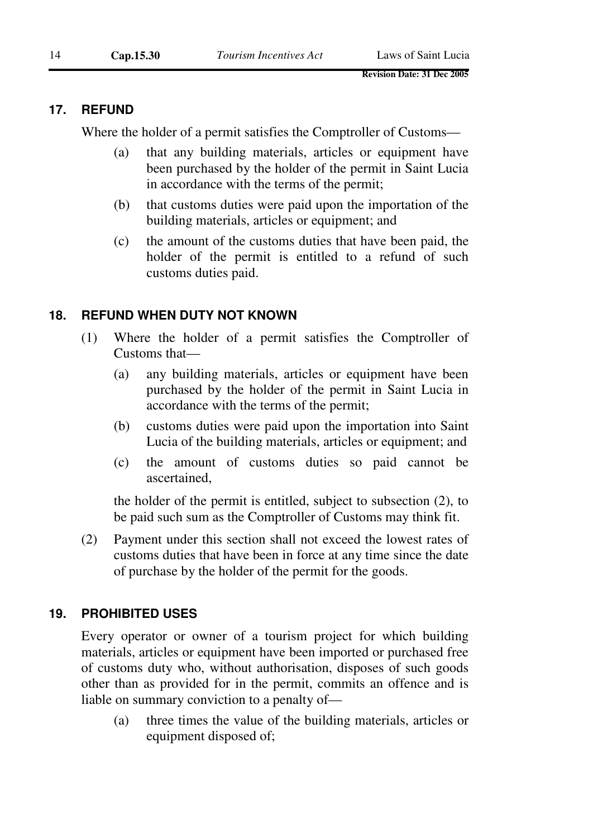### **17. REFUND**

Where the holder of a permit satisfies the Comptroller of Customs—

- (a) that any building materials, articles or equipment have been purchased by the holder of the permit in Saint Lucia in accordance with the terms of the permit;
- (b) that customs duties were paid upon the importation of the building materials, articles or equipment; and
- (c) the amount of the customs duties that have been paid, the holder of the permit is entitled to a refund of such customs duties paid.

### **18. REFUND WHEN DUTY NOT KNOWN**

- (1) Where the holder of a permit satisfies the Comptroller of Customs that—
	- (a) any building materials, articles or equipment have been purchased by the holder of the permit in Saint Lucia in accordance with the terms of the permit;
	- (b) customs duties were paid upon the importation into Saint Lucia of the building materials, articles or equipment; and
	- (c) the amount of customs duties so paid cannot be ascertained,

the holder of the permit is entitled, subject to subsection (2), to be paid such sum as the Comptroller of Customs may think fit.

(2) Payment under this section shall not exceed the lowest rates of customs duties that have been in force at any time since the date of purchase by the holder of the permit for the goods.

### **19. PROHIBITED USES**

Every operator or owner of a tourism project for which building materials, articles or equipment have been imported or purchased free of customs duty who, without authorisation, disposes of such goods other than as provided for in the permit, commits an offence and is liable on summary conviction to a penalty of—

(a) three times the value of the building materials, articles or equipment disposed of;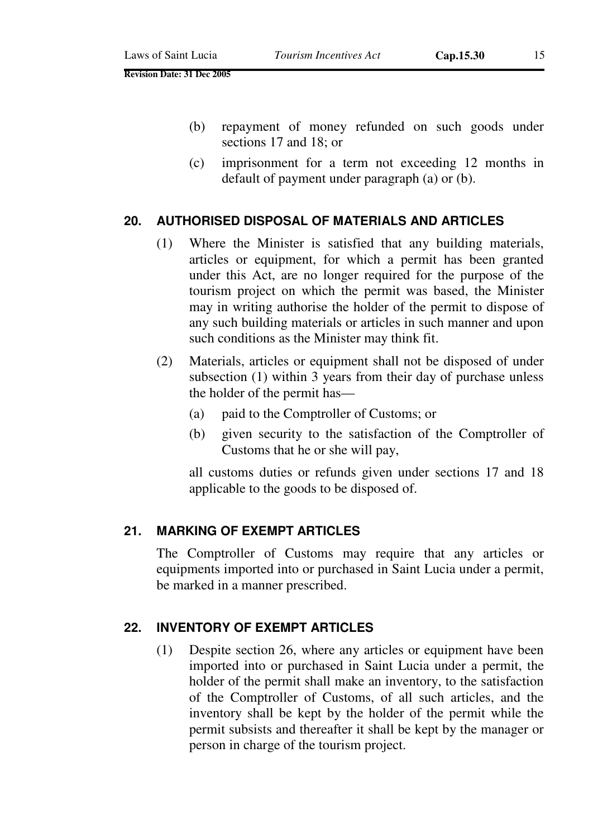(c) imprisonment for a term not exceeding 12 months in default of payment under paragraph (a) or (b).

### **20. AUTHORISED DISPOSAL OF MATERIALS AND ARTICLES**

- (1) Where the Minister is satisfied that any building materials, articles or equipment, for which a permit has been granted under this Act, are no longer required for the purpose of the tourism project on which the permit was based, the Minister may in writing authorise the holder of the permit to dispose of any such building materials or articles in such manner and upon such conditions as the Minister may think fit.
- (2) Materials, articles or equipment shall not be disposed of under subsection (1) within 3 years from their day of purchase unless the holder of the permit has—
	- (a) paid to the Comptroller of Customs; or
	- (b) given security to the satisfaction of the Comptroller of Customs that he or she will pay,

all customs duties or refunds given under sections 17 and 18 applicable to the goods to be disposed of.

### **21. MARKING OF EXEMPT ARTICLES**

The Comptroller of Customs may require that any articles or equipments imported into or purchased in Saint Lucia under a permit, be marked in a manner prescribed.

### **22. INVENTORY OF EXEMPT ARTICLES**

(1) Despite section 26, where any articles or equipment have been imported into or purchased in Saint Lucia under a permit, the holder of the permit shall make an inventory, to the satisfaction of the Comptroller of Customs, of all such articles, and the inventory shall be kept by the holder of the permit while the permit subsists and thereafter it shall be kept by the manager or person in charge of the tourism project.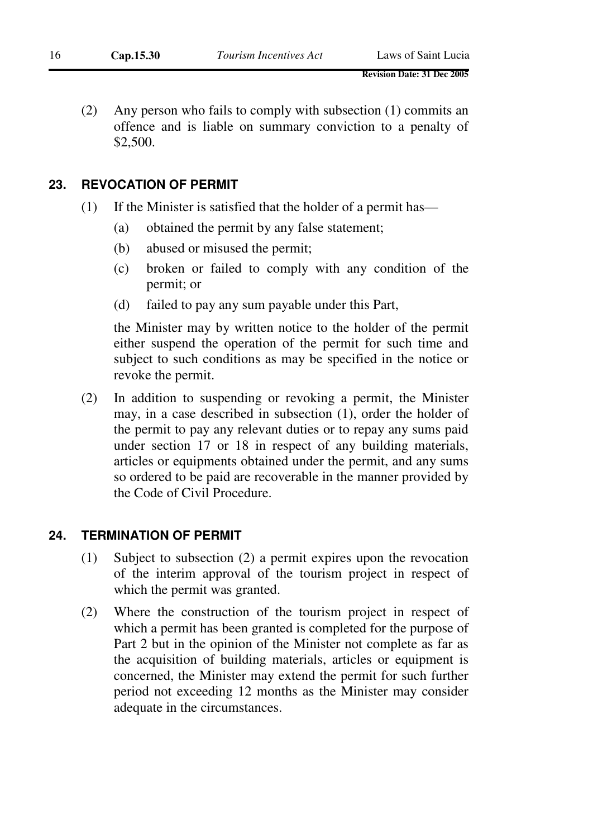(2) Any person who fails to comply with subsection (1) commits an offence and is liable on summary conviction to a penalty of \$2,500.

#### **23. REVOCATION OF PERMIT**

- (1) If the Minister is satisfied that the holder of a permit has—
	- (a) obtained the permit by any false statement;
	- (b) abused or misused the permit;
	- (c) broken or failed to comply with any condition of the permit; or
	- (d) failed to pay any sum payable under this Part,

the Minister may by written notice to the holder of the permit either suspend the operation of the permit for such time and subject to such conditions as may be specified in the notice or revoke the permit.

(2) In addition to suspending or revoking a permit, the Minister may, in a case described in subsection (1), order the holder of the permit to pay any relevant duties or to repay any sums paid under section 17 or 18 in respect of any building materials, articles or equipments obtained under the permit, and any sums so ordered to be paid are recoverable in the manner provided by the Code of Civil Procedure.

#### **24. TERMINATION OF PERMIT**

- (1) Subject to subsection (2) a permit expires upon the revocation of the interim approval of the tourism project in respect of which the permit was granted.
- (2) Where the construction of the tourism project in respect of which a permit has been granted is completed for the purpose of Part 2 but in the opinion of the Minister not complete as far as the acquisition of building materials, articles or equipment is concerned, the Minister may extend the permit for such further period not exceeding 12 months as the Minister may consider adequate in the circumstances.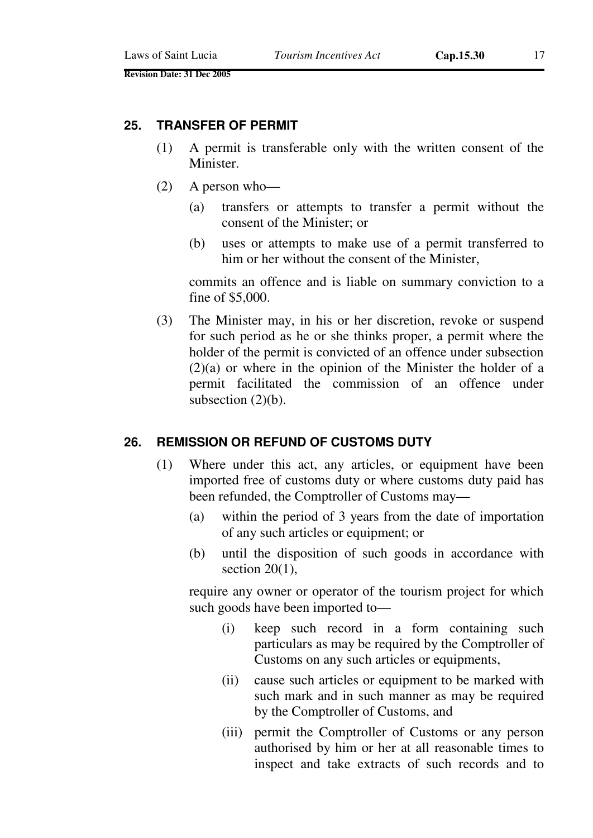#### **25. TRANSFER OF PERMIT**

- (1) A permit is transferable only with the written consent of the Minister.
- (2) A person who—
	- (a) transfers or attempts to transfer a permit without the consent of the Minister; or
	- (b) uses or attempts to make use of a permit transferred to him or her without the consent of the Minister,

commits an offence and is liable on summary conviction to a fine of \$5,000.

(3) The Minister may, in his or her discretion, revoke or suspend for such period as he or she thinks proper, a permit where the holder of the permit is convicted of an offence under subsection (2)(a) or where in the opinion of the Minister the holder of a permit facilitated the commission of an offence under subsection  $(2)(b)$ .

#### **26. REMISSION OR REFUND OF CUSTOMS DUTY**

- (1) Where under this act, any articles, or equipment have been imported free of customs duty or where customs duty paid has been refunded, the Comptroller of Customs may—
	- (a) within the period of 3 years from the date of importation of any such articles or equipment; or
	- (b) until the disposition of such goods in accordance with section  $20(1)$ ,

require any owner or operator of the tourism project for which such goods have been imported to—

- (i) keep such record in a form containing such particulars as may be required by the Comptroller of Customs on any such articles or equipments,
- (ii) cause such articles or equipment to be marked with such mark and in such manner as may be required by the Comptroller of Customs, and
- (iii) permit the Comptroller of Customs or any person authorised by him or her at all reasonable times to inspect and take extracts of such records and to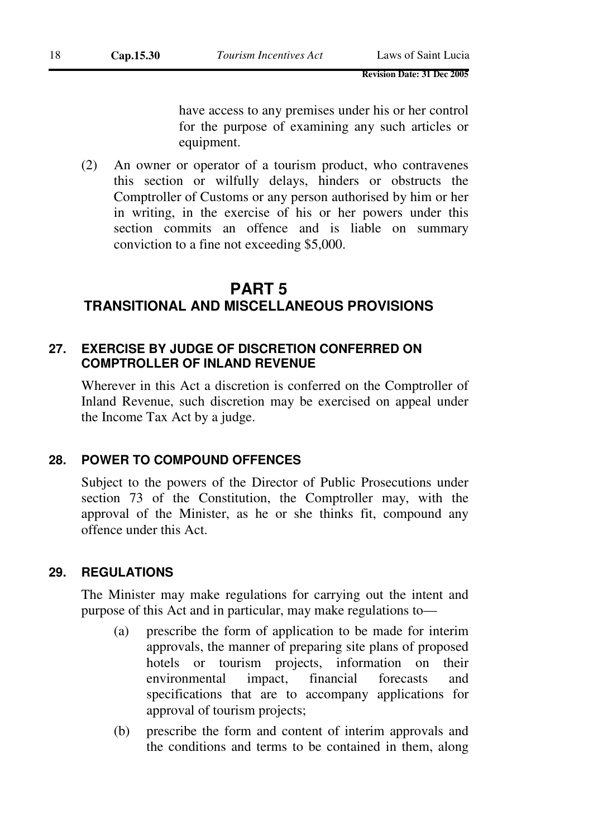have access to any premises under his or her control for the purpose of examining any such articles or equipment.

(2) An owner or operator of a tourism product, who contravenes this section or wilfully delays, hinders or obstructs the Comptroller of Customs or any person authorised by him or her in writing, in the exercise of his or her powers under this section commits an offence and is liable on summary conviction to a fine not exceeding \$5,000.

## **PART 5**

### **TRANSITIONAL AND MISCELLANEOUS PROVISIONS**

### **27. EXERCISE BY JUDGE OF DISCRETION CONFERRED ON COMPTROLLER OF INLAND REVENUE**

Wherever in this Act a discretion is conferred on the Comptroller of Inland Revenue, such discretion may be exercised on appeal under the Income Tax Act by a judge.

### **28. POWER TO COMPOUND OFFENCES**

Subject to the powers of the Director of Public Prosecutions under section 73 of the Constitution, the Comptroller may, with the approval of the Minister, as he or she thinks fit, compound any offence under this Act.

### **29. REGULATIONS**

The Minister may make regulations for carrying out the intent and purpose of this Act and in particular, may make regulations to—

- (a) prescribe the form of application to be made for interim approvals, the manner of preparing site plans of proposed hotels or tourism projects, information on their environmental impact, financial forecasts and specifications that are to accompany applications for approval of tourism projects;
- (b) prescribe the form and content of interim approvals and the conditions and terms to be contained in them, along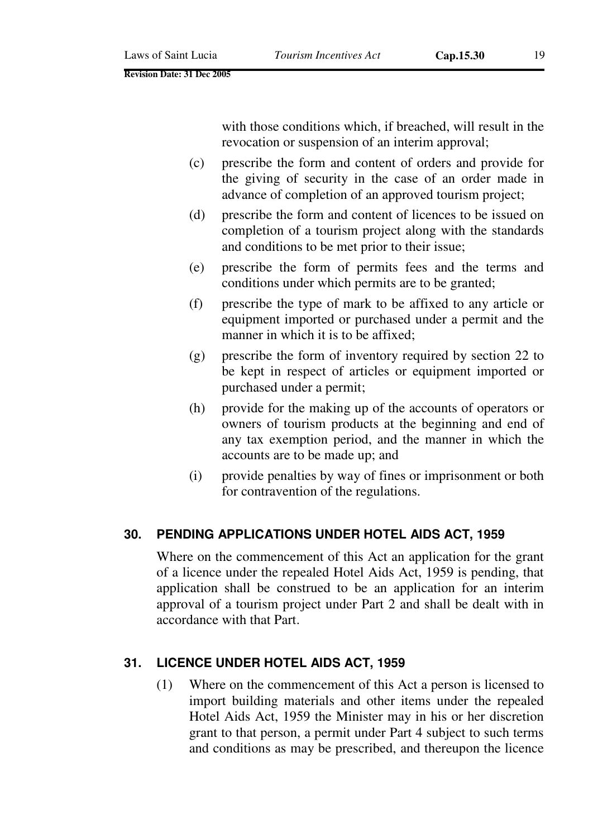with those conditions which, if breached, will result in the revocation or suspension of an interim approval;

- (c) prescribe the form and content of orders and provide for the giving of security in the case of an order made in advance of completion of an approved tourism project;
- (d) prescribe the form and content of licences to be issued on completion of a tourism project along with the standards and conditions to be met prior to their issue;
- (e) prescribe the form of permits fees and the terms and conditions under which permits are to be granted;
- (f) prescribe the type of mark to be affixed to any article or equipment imported or purchased under a permit and the manner in which it is to be affixed;
- (g) prescribe the form of inventory required by section 22 to be kept in respect of articles or equipment imported or purchased under a permit;
- (h) provide for the making up of the accounts of operators or owners of tourism products at the beginning and end of any tax exemption period, and the manner in which the accounts are to be made up; and
- (i) provide penalties by way of fines or imprisonment or both for contravention of the regulations.

### **30. PENDING APPLICATIONS UNDER HOTEL AIDS ACT, 1959**

Where on the commencement of this Act an application for the grant of a licence under the repealed Hotel Aids Act, 1959 is pending, that application shall be construed to be an application for an interim approval of a tourism project under Part 2 and shall be dealt with in accordance with that Part.

### **31. LICENCE UNDER HOTEL AIDS ACT, 1959**

(1) Where on the commencement of this Act a person is licensed to import building materials and other items under the repealed Hotel Aids Act, 1959 the Minister may in his or her discretion grant to that person, a permit under Part 4 subject to such terms and conditions as may be prescribed, and thereupon the licence